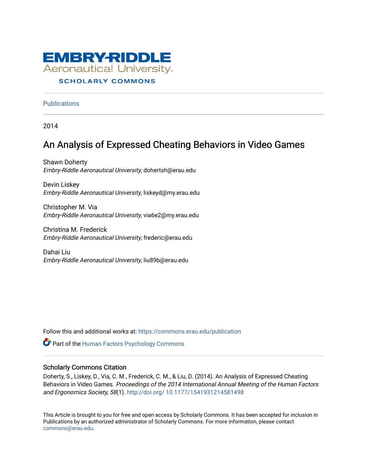

## **SCHOLARLY COMMONS**

**Publications** 

2014

# An Analysis of Expressed Cheating Behaviors in Video Games

Shawn Doherty Embry-Riddle Aeronautical University, dohertsh@erau.edu

Devin Liskey Embry-Riddle Aeronautical University, liskeyd@my.erau.edu

Christopher M. Via Embry-Riddle Aeronautical University, via6e2@my.erau.edu

Christina M. Frederick Embry-Riddle Aeronautical University, frederic@erau.edu

Dahai Liu Embry-Riddle Aeronautical University, liu89b@erau.edu

Follow this and additional works at: [https://commons.erau.edu/publication](https://commons.erau.edu/publication?utm_source=commons.erau.edu%2Fpublication%2F1728&utm_medium=PDF&utm_campaign=PDFCoverPages) 

**Part of the Human Factors Psychology Commons** 

### Scholarly Commons Citation

Doherty, S., Liskey, D., Via, C. M., Frederick, C. M., & Liu, D. (2014). An Analysis of Expressed Cheating Behaviors in Video Games. Proceedings of the 2014 International Annual Meeting of the Human Factors and Ergonomics Society, 58(1). [http://doi.org/ 10.1177/1541931214581498](http://doi.org/%2010.1177/1541931214581498) 

This Article is brought to you for free and open access by Scholarly Commons. It has been accepted for inclusion in Publications by an authorized administrator of Scholarly Commons. For more information, please contact [commons@erau.edu](mailto:commons@erau.edu).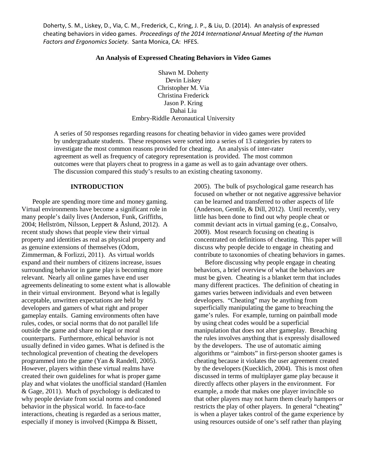### **An Analysis of Expressed Cheating Behaviors in Video Games**

Shawn M. Doherty Devin Liskey Christopher M. Via Christina Frederick Jason P. Kring Dahai Liu Embry-Riddle Aeronautical University

A series of 50 responses regarding reasons for cheating behavior in video games were provided by undergraduate students. These responses were sorted into a series of 13 categories by raters to investigate the most common reasons provided for cheating. An analysis of inter-rater agreement as well as frequency of category representation is provided. The most common outcomes were that players cheat to progress in a game as well as to gain advantage over others. The discussion compared this study's results to an existing cheating taxonomy.

#### **INTRODUCTION**

People are spending more time and money gaming. Virtual environments have become a significant role in many people's daily lives (Anderson, Funk, Griffiths, 2004; Hellström, Nilsson, Leppert & Åslund, 2012). A recent study shows that people view their virtual property and identities as real as physical property and as genuine extensions of themselves (Odom, Zimmerman, & Forlizzi, 2011). As virtual worlds expand and their numbers of citizens increase, issues surrounding behavior in game play is becoming more relevant. Nearly all online games have end user agreements delineating to some extent what is allowable in their virtual environment. Beyond what is legally acceptable, unwritten expectations are held by developers and gamers of what right and proper gameplay entails. Gaming environments often have rules, codes, or social norms that do not parallel life outside the game and share no legal or moral counterparts. Furthermore, ethical behavior is not usually defined in video games. What is defined is the technological prevention of cheating the developers programmed into the game (Yan & Randell, 2005). However, players within these virtual realms have created their own guidelines for what is proper game play and what violates the unofficial standard (Hamlen & Gage, 2011). Much of psychology is dedicated to why people deviate from social norms and condoned behavior in the physical world. In face-to-face interactions, cheating is regarded as a serious matter, especially if money is involved (Kimppa & Bissett,

2005). The bulk of psychological game research has focused on whether or not negative aggressive behavior can be learned and transferred to other aspects of life (Anderson, Gentile, & Dill, 2012). Until recently, very little has been done to find out why people cheat or commit deviant acts in virtual gaming (e.g., Consalvo, 2009). Most research focusing on cheating is concentrated on definitions of cheating. This paper will discuss why people decide to engage in cheating and contribute to taxonomies of cheating behaviors in games.

Before discussing why people engage in cheating behaviors, a brief overview of what the behaviors are must be given. Cheating is a blanket term that includes many different practices. The definition of cheating in games varies between individuals and even between developers. "Cheating" may be anything from superficially manipulating the game to breaching the game's rules. For example, turning on paintball mode by using cheat codes would be a superficial manipulation that does not alter gameplay. Breaching the rules involves anything that is expressly disallowed by the developers. The use of automatic aiming algorithms or "aimbots" in first-person shooter games is cheating because it violates the user agreement created by the developers (Kuecklich, 2004). This is most often discussed in terms of multiplayer game play because it directly affects other players in the environment. For example, a mode that makes one player invincible so that other players may not harm them clearly hampers or restricts the play of other players. In general "cheating" is when a player takes control of the game experience by using resources outside of one's self rather than playing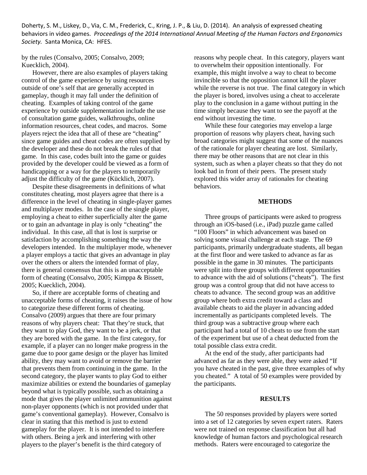by the rules (Consalvo, 2005; Consalvo, 2009; Kuecklich, 2004).

However, there are also examples of players taking control of the game experience by using resources outside of one's self that are generally accepted in gameplay, though it may fall under the definition of cheating. Examples of taking control of the game experience by outside supplementation include the use of consultation game guides, walkthroughs, online information resources, cheat codes, and macros. Some players reject the idea that all of these are "cheating" since game guides and cheat codes are often supplied by the developer and these do not break the rules of that game. In this case, codes built into the game or guides provided by the developer could be viewed as a form of handicapping or a way for the players to temporarily adjust the difficulty of the game (Kücklich, 2007).

Despite these disagreements in definitions of what constitutes cheating, most players agree that there is a difference in the level of cheating in single-player games and multiplayer modes. In the case of the single player, employing a cheat to either superficially alter the game or to gain an advantage in play is only "cheating" the individual. In this case, all that is lost is surprise or satisfaction by accomplishing something the way the developers intended. In the multiplayer mode, whenever a player employs a tactic that gives an advantage in play over the others or alters the intended format of play, there is general consensus that this is an unacceptable form of cheating (Consalvo, 2005; Kimppa & Bissett, 2005; Kuecklich, 2004).

So, if there are acceptable forms of cheating and unacceptable forms of cheating, it raises the issue of how to categorize these different forms of cheating. Consalvo (2009) argues that there are four primary reasons of why players cheat: That they're stuck, that they want to play God, they want to be a jerk, or that they are bored with the game. In the first category, for example, if a player can no longer make progress in the game due to poor game design or the player has limited ability, they may want to avoid or remove the barrier that prevents them from continuing in the game. In the second category, the player wants to play God to either maximize abilities or extend the boundaries of gameplay beyond what is typically possible, such as obtaining a mode that gives the player unlimited ammunition against non-player opponents (which is not provided under that game's conventional gameplay). However, Consalvo is clear in stating that this method is just to extend gameplay for the player. It is not intended to interfere with others. Being a jerk and interfering with other players to the player's benefit is the third category of

reasons why people cheat. In this category, players want to overwhelm their opposition intentionally. For example, this might involve a way to cheat to become invincible so that the opposition cannot kill the player while the reverse is not true. The final category in which the player is bored, involves using a cheat to accelerate play to the conclusion in a game without putting in the time simply because they want to see the payoff at the end without investing the time.

While these four categories may envelop a large proportion of reasons why players cheat, having such broad categories might suggest that some of the nuances of the rationale for player cheating are lost. Similarly, there may be other reasons that are not clear in this system, such as when a player cheats so that they do not look bad in front of their peers. The present study explored this wider array of rationales for cheating behaviors.

#### **METHODS**

Three groups of participants were asked to progress through an iOS-based (i.e., iPad) puzzle game called "100 Floors" in which advancement was based on solving some visual challenge at each stage. The 69 participants, primarily undergraduate students, all began at the first floor and were tasked to advance as far as possible in the game in 30 minutes. The participants were split into three groups with different opportunities to advance with the aid of solutions ("cheats"). The first group was a control group that did not have access to cheats to advance. The second group was an additive group where both extra credit toward a class and available cheats to aid the player in advancing added incrementally as participants completed levels. The third group was a subtractive group where each participant had a total of 10 cheats to use from the start of the experiment but use of a cheat deducted from the total possible class extra credit.

At the end of the study, after participants had advanced as far as they were able, they were asked "If you have cheated in the past, give three examples of why you cheated." A total of 50 examples were provided by the participants.

#### **RESULTS**

The 50 responses provided by players were sorted into a set of 12 categories by seven expert raters. Raters were not trained on response classification but all had knowledge of human factors and psychological research methods. Raters were encouraged to categorize the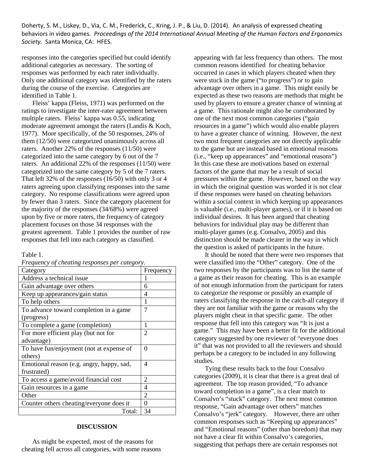responses into the categories specified but could identify additional categories as necessary. The sorting of responses was performed by each rater individually. Only one additional category was identified by the raters during the course of the exercise. Categories are identified in Table 1.

Fleiss' kappa (Fleiss, 1971) was performed on the ratings to investigate the inter-rater agreement between multiple raters. Fleiss' kappa was 0.55, indicating moderate agreement amongst the raters (Landis & Koch, 1977). More specifically, of the 50 responses, 24% of them (12/50) were categorized unanimously across all raters. Another 22% of the responses (11/50) were categorized into the same category by 6 out of the 7 raters. An additional 22% of the responses (11/50) were categorized into the same category by 5 of the 7 raters. That left 32% of the responses (16/50) with only 3 or 4 raters agreeing upon classifying responses into the same category. No response classifications were agreed upon by fewer than 3 raters. Since the category placement for the majority of the responses (34/68%) were agreed upon by five or more raters, the frequency of category placement focuses on those 34 responses with the greatest agreement. Table 1 provides the number of raw responses that fell into each category as classified.

Table 1.

| Category                                  | Frequency      |
|-------------------------------------------|----------------|
| Address a technical issue                 |                |
| Gain advantage over others                | 6              |
| Keep up appearances/gain status           | 4              |
| To help others                            | 1              |
| To advance toward completion in a game    | 7              |
| (progress)                                |                |
| To complete a game (completion)           | 1              |
| For more efficient play (but not for      | $\overline{2}$ |
| advantage)                                |                |
| To have fun/enjoyment (not at expense of  | 0              |
| others)                                   |                |
| Emotional reason (e.g. angry, happy, sad, | 4              |
| frustrated)                               |                |
| To access a game/avoid financial cost     | $\overline{2}$ |
| Gain resources in a game                  | 4              |
| Other                                     | $\overline{2}$ |
| Counter others cheating/everyone does it  | 0              |
| Total:                                    | 34             |

### **DISCUSSION**

As might be expected, most of the reasons for cheating fell across all categories, with some reasons appearing with far less frequency than others. The most common reasons identified for cheating behavior occurred in cases in which players cheated when they were stuck in the game ("to progress") or to gain advantage over others in a game. This might easily be expected as these two reasons are methods that might be used by players to ensure a greater chance of winning at a game. This rationale might also be corroborated by one of the next most common categories ("gain resources in a game") which would also enable players to have a greater chance of winning. However, the next two most frequent categories are not directly applicable to the game but are instead based in emotional reasons (i.e., "keep up appearances" and "emotional reasons") In this case these are motivations based on external factors of the game that may be a result of social pressures within the game. However, based on the way in which the original question was worded it is not clear if these responses were based on cheating behaviors within a social context in which keeping up appearances is valuable (i.e., multi-player games), or if it is based on individual desires. It has been argued that cheating behaviors for individual play may be different than multi-player games (e.g. Consalvo, 2005) and this distinction should be made clearer in the way in which the question is asked of participants in the future.

It should be noted that there were two responses that were classified into the "Other" category. One of the two responses by the participants was to list the name of a game as their reason for cheating. This is an example of not enough information from the participant for raters to categorize the response or possibly an example of raters classifying the response in the catch-all category if they are not familiar with the game or reasons why the players might cheat in that specific game. The other response that fell into this category was "It is just a game." This may have been a better fit for the additional category suggested by one reviewer of "everyone does it" that was not provided to all the reviewers and should perhaps be a category to be included in any following studies.

Tying these results back to the four Consalvo categories (2009), it is clear that there is a great deal of agreement. The top reason provided, "To advance toward completion in a game", is a clear match to Consalvo's "stuck" category. The next most common response, "Gain advantage over others" matches Consalvo's "jerk" category. However, there are other common responses such as "Keeping up appearances" and "Emotional reasons" (other than boredom) that may not have a clear fit within Consalvo's categories, suggesting that perhaps there are certain responses not